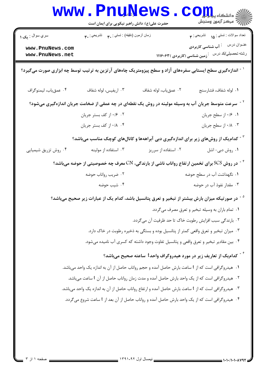|                                                                                                                            | <b>www.PnuNews</b><br>حضرت علی(ع): دانش راهبر نیکویی برای ایمان است |                       | الله دانشکاه پیام برای COM<br>الله عرکز آنهان وسنجش                                     |
|----------------------------------------------------------------------------------------------------------------------------|---------------------------------------------------------------------|-----------------------|-----------------------------------------------------------------------------------------|
| سري سوال : يک ۱                                                                                                            | زمان أزمون (دقيقه) : تستي : ٩. تشريحي : ٣.                          |                       | تعداد سوالات : تستي : <sub>10</sub> تشريحي : <b>٣</b>                                   |
| www.PnuNews.com<br>www.PnuNews.net                                                                                         |                                                                     |                       | عنـوان درس       : آب شناسی کاربردی<br>رشته تحصیلی/کد درس غزمین شناسی (کاربردی )۱۱۱۶۰۶۳ |
| <sup>۱ -</sup> اندازهگیری سطح ایستابی سفرههای آزاد و سطح پیزومتریک چاههای آرتزین به ترتیب توسط چه ابزاری صورت میگیرد؟      |                                                                     |                       |                                                                                         |
| ۰۴ عمق ياب، ليمنوكراف                                                                                                      | ۰۳ اریفیس، لوله شفاف                                                | ٢. عمق ياب، لوله شفاف | ٠١ لوله شفاف، فشارسنج                                                                   |
| <sup>۲</sup> <sup>-</sup> سرعت متوسط جریان آب به وسیله مولینه در روش یک نقطهای در چه عمقی از ضخامت جریان اندازهگیری میشود؟ |                                                                     |                       |                                                                                         |
|                                                                                                                            | ۰۲ ۰/۶ از کف بستر جریان                                             |                       | ٠١ ٠/٤ از سطح جريان                                                                     |
|                                                                                                                            | ۰۴ /۰۱ از کف بستر جریان                                             |                       | ۰۴ ۱۰/۸ از سطح جريان                                                                    |
| <sup>۳ -</sup> کدام یک از روشهای زیر برای اندازهگیری دبی آبراههها و کانالهای کوچک مناسب میباشد؟                            |                                                                     |                       |                                                                                         |
| ۰۴ روش تزریق شیمیایی                                                                                                       | ۰۳ استفاده از مولینه                                                | ۰۲ استفاده از سرریز   | ۰۱ روش دبی- اشل                                                                         |
| در روش SCS برای تخمین ارتفاع رواناب ناشی از بارندگی، CN معرف چه خصوصیتی از حوضه میباشد؟ $^\circ$                           |                                                                     |                       |                                                                                         |
|                                                                                                                            | ۰۲ ضریب رواناب حوضه                                                 |                       | ۰۱ نگهداشت آب در سطح حوضه                                                               |
|                                                                                                                            | ۰۴ شیب حوضه                                                         |                       | ۰۳ مقدار نفوذ آب در حوضه                                                                |
| <sup>۵ -</sup> در صورتیکه میزان بارش بیشتر از تبخیر و تعرق پتانسیل باشد، کدام یک از عبارات زیر صحیح میباشد؟                |                                                                     |                       |                                                                                         |
| ۰۱ تمام باران به وسیله تبخیر و تعرق مصرف میگردد.                                                                           |                                                                     |                       |                                                                                         |
| ٢. بارندگی سبب افزایش رطوبت خاک تا حد ظرفیت آن می گردد.                                                                    |                                                                     |                       |                                                                                         |
| ۰۳ میزان تبخیر و تعرق واقعی کمتر از پتانسیل بوده و بستگی به ذخیره رطوبت در خاک دارد.                                       |                                                                     |                       |                                                                                         |
| ۰۴ بین مقادیر تبخیر و تعرق واقعی و پتانسیل تفاوت وجود داشته که کسری آب نامیده میشود.                                       |                                                                     |                       |                                                                                         |
| د - کدامیک از تعاریف زیر در مورد هیدروگراف واحد $t$ ساعته صحیح میباشد $^\circ$                                             |                                                                     |                       |                                                                                         |
| ۰۱   هیدروگرافی است که از t ساعت بارش حاصل آمده و حجم رواناب حاصل از آن به اندازه یک واحد میباشد.                          |                                                                     |                       |                                                                                         |
| ۰۲ هیدروگرافی است که از یک واحد بارش حاصل آمده و مدت زمان رواناب حاصل از آن t ساعت می باشد.                                |                                                                     |                       |                                                                                         |
| ۰۳ هیدروگرافی است که از t ساعت بارش حاصل آمده و ارتفاع رواناب حاصل از آن به اندازه یک واحد می باشد.                        |                                                                     |                       |                                                                                         |
| ۰۴ هیدروگرافی است که از یک واحد بارش حاصل آمده و رواناب حاصل از آن بعد از t ساعت شروع می <i>گ</i> ردد.                     |                                                                     |                       |                                                                                         |
|                                                                                                                            |                                                                     |                       |                                                                                         |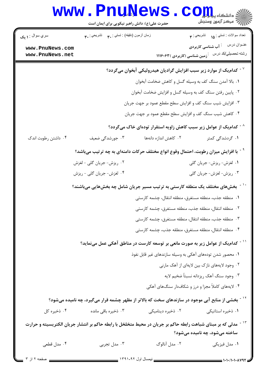